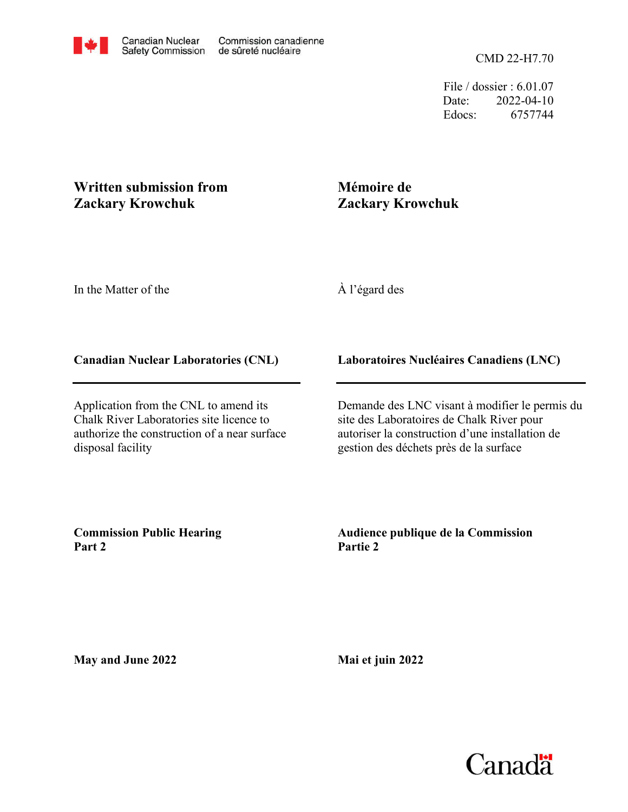File / dossier : 6.01.07 Date: 2022-04-10 Edocs: 6757744

## **Written submission from Zackary Krowchuk**

# **Mémoire de Zackary Krowchuk**

In the Matter of the

À l'égard des

## **Canadian Nuclear Laboratories (CNL)**

Application from the CNL to amend its Chalk River Laboratories site licence to authorize the construction of a near surface disposal facility

## **Laboratoires Nucléaires Canadiens (LNC)**

Demande des LNC visant à modifier le permis du site des Laboratoires de Chalk River pour autoriser la construction d'une installation de gestion des déchets près de la surface

**Commission Public Hearing Part 2**

#### **Audience publique de la Commission Partie 2**

**May and June 2022**

**Mai et juin 2022**

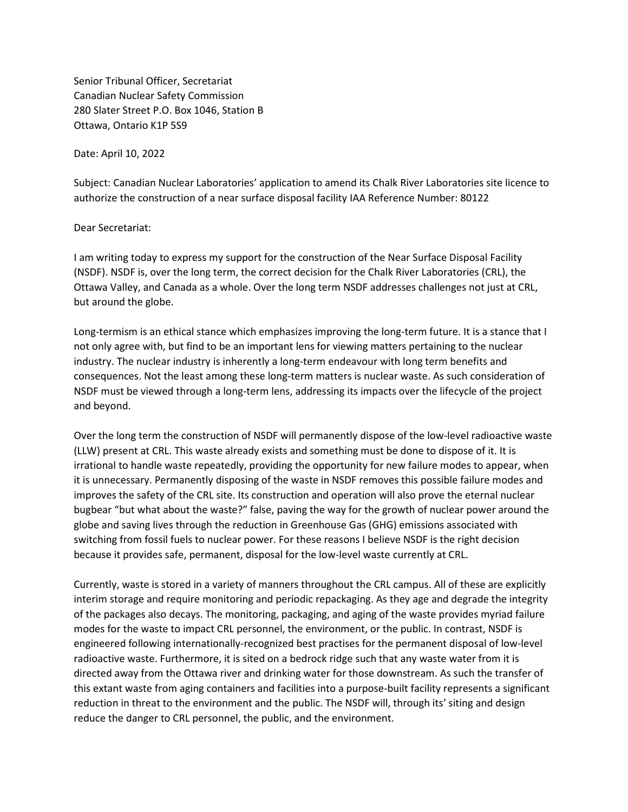Ottawa, Ontario K1P 5S9 280 Slater Street P.O. Box 1046, Station B Canadian Nuclear Safety Commission Senior Tribunal Officer, Secretariat

Date: April 10, 2022

authorize the construction of a near surface disposal facility IAA Reference Number: 80122 Subject: Canadian Nuclear Laboratories' application to amend its Chalk River Laboratories site licence to

#### Dear Secretariat:

but around the globe. Ottawa Valley, and Canada as a whole. Over the long term NSDF addresses challenges not just at CRL, (NSDF). NSDF is, over the long term, the correct decision for the Chalk River Laboratories (CRL), the I am writing today to express my support for the construction of the Near Surface Disposal Facility

and beyond. NSDF must be viewed through a long-term lens, addressing its impacts over the lifecycle of the project consequences. Not the least among these long-term matters is nuclear waste. As such consideration of industry. The nuclear industry is inherently a long-term endeavour with long term benefits and not only agree with, but find to be an important lens for viewing matters pertaining to the nuclear Long-termism is an ethical stance which emphasizes improving the long-term future. It is a stance that I

because it provides safe, permanent, disposal for the low-level waste currently at CRL. switching from fossil fuels to nuclear power. For these reasons I believe NSDF is the right decision globe and saving lives through the reduction in Greenhouse Gas (GHG) emissions associated with bugbear "but what about the waste?" false, paving the way for the growth of nuclear power around the improves the safety of the CRL site. Its construction and operation will also prove the eternal nuclear it is unnecessary. Permanently disposing of the waste in NSDF removes this possible failure modes and irrational to handle waste repeatedly, providing the opportunity for new failure modes to appear, when (LLW) present at CRL. This waste already exists and something must be done to dispose of it. It is Over the long term the construction of NSDF will permanently dispose of the low-level radioactive waste

reduce the danger to CRL personnel, the public, and the environment. reduction in threat to the environment and the public. The NSDF will, through its' siting and design this extant waste from aging containers and facilities into a purpose-built facility represents a significant directed away from the Ottawa river and drinking water for those downstream. As such the transfer of radioactive waste. Furthermore, it is sited on a bedrock ridge such that any waste water from it is engineered following internationally-recognized best practises for the permanent disposal of low-level modes for the waste to impact CRL personnel, the environment, or the public. In contrast, NSDF is of the packages also decays. The monitoring, packaging, and aging of the waste provides myriad failure interim storage and require monitoring and periodic repackaging. As they age and degrade the integrity Currently, waste is stored in a variety of manners throughout the CRL campus. All of these are explicitly